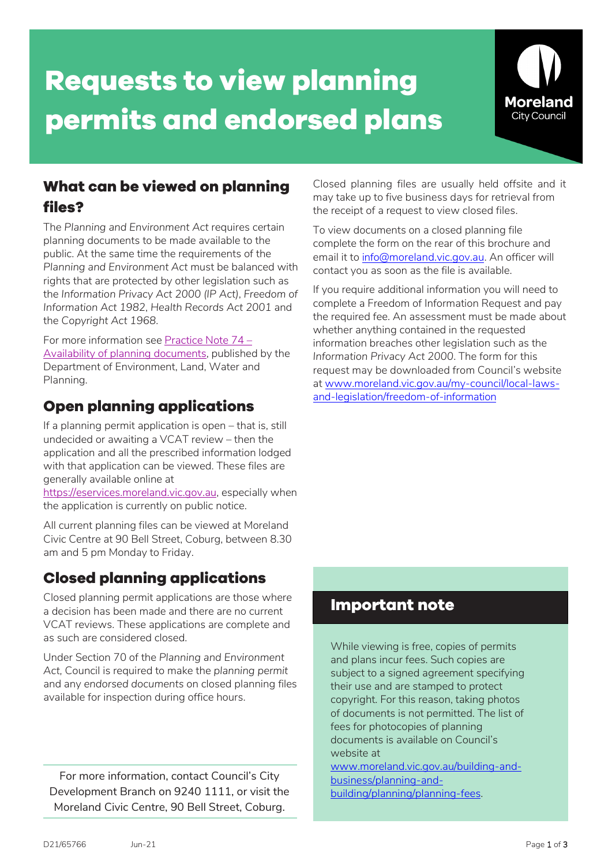# **Requests to view planning permits and endorsed plans**



## **What can be viewed on planning files?**

The *Planning and Environment Act* requires certain planning documents to be made available to the public. At the same time the requirements of the *Planning and Environment Act* must be balanced with rights that are protected by other legislation such as the *Information Privacy Act 2000 (IP Act)*, *Freedom of Information Act 1982*, *Health Records Act 2001* and the *Copyright Act 1968*.

For more information see Practice Note 74 – [Availability of planning documents,](https://www.planning.vic.gov.au/__data/assets/pdf_file/0027/97335/PPN74-Availability-of-planning-documents_July-2016.pdf) published by the Department of Environment, Land, Water and Planning.

## **Open planning applications**

If a planning permit application is open – that is, still undecided or awaiting a VCAT review – then the application and all the prescribed information lodged with that application can be viewed. These files are generally available online at

[https://eservices.moreland.vic.gov.au,](https://eservices.moreland.vic.gov.au/) especially when the application is currently on public notice.

All current planning files can be viewed at Moreland Civic Centre at 90 Bell Street, Coburg, between 8.30 am and 5 pm Monday to Friday.

## **Closed planning applications**

Closed planning permit applications are those where a decision has been made and there are no current VCAT reviews. These applications are complete and as such are considered closed.

Under Section 70 of the *Planning and Environment Act,* Council is required to make the *planning permit* and any *endorsed documents* on closed planning files available for inspection during office hours.

For more information, contact Council's City Development Branch on 9240 1111, or visit the Moreland Civic Centre, 90 Bell Street, Coburg.

Closed planning files are usually held offsite and it may take up to five business days for retrieval from the receipt of a request to view closed files.

To view documents on a closed planning file complete the form on the rear of this brochure and email it to info@moreland.vic.gov.au. An officer will contact you as soon as the file is available.

If you require additional information you will need to complete a Freedom of Information Request and pay the required fee. An assessment must be made about whether anything contained in the requested information breaches other legislation such as the *Information Privacy Act 2000*. The form for this request may be downloaded from Council's website at www.moreland.vic.gov.au/my-council/local-lawsand-legislation/freedom-of-information

### **Important note**

While viewing is free, copies of permits and plans incur fees. Such copies are subject to a signed agreement specifying their use and are stamped to protect copyright. For this reason, taking photos of documents is not permitted. The list of fees for photocopies of planning documents is available on Council's website at

[www.moreland.vic.gov.au/building-and](https://www.moreland.vic.gov.au/building-and-business/planning-and-building/planning/planning-fees/)[business/planning-and](https://www.moreland.vic.gov.au/building-and-business/planning-and-building/planning/planning-fees/)[building/planning/planning-fees.](https://www.moreland.vic.gov.au/building-and-business/planning-and-building/planning/planning-fees/)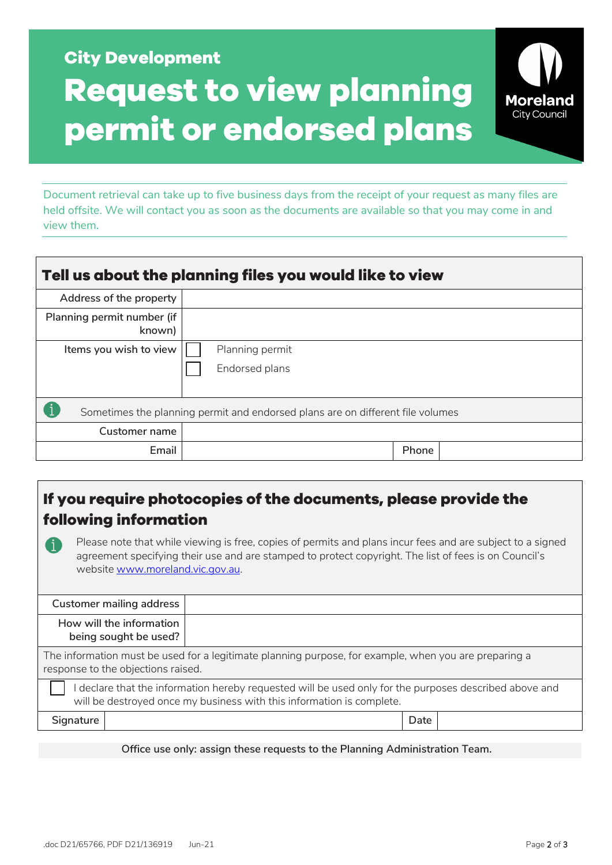## **City Development Request to view planning permit or endorsed plans**

Document retrieval can take up to five business days from the receipt of your request as many files are held offsite. We will contact you as soon as the documents are available so that you may come in and view them.

| Tell us about the planning files you would like to view                        |                 |  |  |  |  |  |  |
|--------------------------------------------------------------------------------|-----------------|--|--|--|--|--|--|
| Address of the property                                                        |                 |  |  |  |  |  |  |
| Planning permit number (if<br>known)                                           |                 |  |  |  |  |  |  |
| Items you wish to view                                                         | Planning permit |  |  |  |  |  |  |
|                                                                                | Endorsed plans  |  |  |  |  |  |  |
| Sometimes the planning permit and endorsed plans are on different file volumes |                 |  |  |  |  |  |  |
| Customer name                                                                  |                 |  |  |  |  |  |  |
| Email                                                                          | Phone           |  |  |  |  |  |  |

## **If you require photocopies of the documents, please provide the following information**

Please note that while viewing is free, copies of permits and plans incur fees and are subject to a signed agreement specifying their use and are stamped to protect copyright. The list of fees is on Council's website www.moreland.vic.gov.au.

|                                                                                                                                                                               | Customer mailing address                          |      |  |  |  |  |
|-------------------------------------------------------------------------------------------------------------------------------------------------------------------------------|---------------------------------------------------|------|--|--|--|--|
|                                                                                                                                                                               | How will the information<br>being sought be used? |      |  |  |  |  |
| The information must be used for a legitimate planning purpose, for example, when you are preparing a<br>response to the objections raised.                                   |                                                   |      |  |  |  |  |
| declare that the information hereby requested will be used only for the purposes described above and<br>will be destroyed once my business with this information is complete. |                                                   |      |  |  |  |  |
| Signature                                                                                                                                                                     |                                                   | Date |  |  |  |  |

**Office use only: assign these requests to the Planning Administration Team.**

**Moreland City Council**